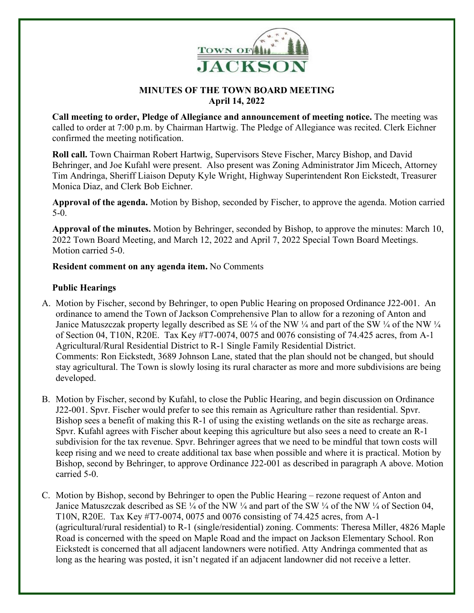

## **MINUTES OF THE TOWN BOARD MEETING April 14, 2022**

**Call meeting to order, Pledge of Allegiance and announcement of meeting notice.** The meeting was called to order at 7:00 p.m. by Chairman Hartwig. The Pledge of Allegiance was recited. Clerk Eichner confirmed the meeting notification.

**Roll call.** Town Chairman Robert Hartwig, Supervisors Steve Fischer, Marcy Bishop, and David Behringer, and Joe Kufahl were present. Also present was Zoning Administrator Jim Micech, Attorney Tim Andringa, Sheriff Liaison Deputy Kyle Wright, Highway Superintendent Ron Eickstedt, Treasurer Monica Diaz, and Clerk Bob Eichner.

**Approval of the agenda.** Motion by Bishop, seconded by Fischer, to approve the agenda. Motion carried 5-0.

**Approval of the minutes.** Motion by Behringer, seconded by Bishop, to approve the minutes: March 10, 2022 Town Board Meeting, and March 12, 2022 and April 7, 2022 Special Town Board Meetings. Motion carried 5-0.

**Resident comment on any agenda item.** No Comments

## **Public Hearings**

- A. Motion by Fischer, second by Behringer, to open Public Hearing on proposed Ordinance J22-001. An ordinance to amend the Town of Jackson Comprehensive Plan to allow for a rezoning of Anton and Janice Matuszczak property legally described as SE  $\frac{1}{4}$  of the NW  $\frac{1}{4}$  and part of the SW  $\frac{1}{4}$  of the NW  $\frac{1}{4}$ of Section 04, T10N, R20E. Tax Key #T7-0074, 0075 and 0076 consisting of 74.425 acres, from A-1 Agricultural/Rural Residential District to R-1 Single Family Residential District. Comments: Ron Eickstedt, 3689 Johnson Lane, stated that the plan should not be changed, but should stay agricultural. The Town is slowly losing its rural character as more and more subdivisions are being developed.
- B. Motion by Fischer, second by Kufahl, to close the Public Hearing, and begin discussion on Ordinance J22-001. Spvr. Fischer would prefer to see this remain as Agriculture rather than residential. Spvr. Bishop sees a benefit of making this R-1 of using the existing wetlands on the site as recharge areas. Spvr. Kufahl agrees with Fischer about keeping this agriculture but also sees a need to create an R-1 subdivision for the tax revenue. Spvr. Behringer agrees that we need to be mindful that town costs will keep rising and we need to create additional tax base when possible and where it is practical. Motion by Bishop, second by Behringer, to approve Ordinance J22-001 as described in paragraph A above. Motion carried 5-0.
- C. Motion by Bishop, second by Behringer to open the Public Hearing rezone request of Anton and Janice Matuszczak described as SE ¼ of the NW ¼ and part of the SW ¼ of the NW ¼ of Section 04, T10N, R20E. Tax Key #T7-0074, 0075 and 0076 consisting of 74.425 acres, from A-1 (agricultural/rural residential) to R-1 (single/residential) zoning. Comments: Theresa Miller, 4826 Maple Road is concerned with the speed on Maple Road and the impact on Jackson Elementary School. Ron Eickstedt is concerned that all adjacent landowners were notified. Atty Andringa commented that as long as the hearing was posted, it isn't negated if an adjacent landowner did not receive a letter.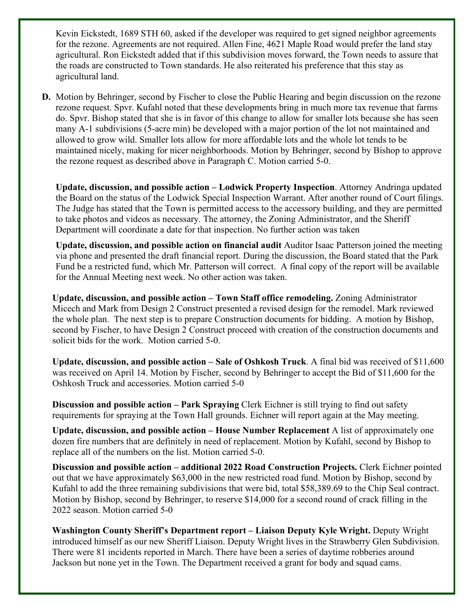Kevin Eickstedt, 1689 STH 60, asked if the developer was required to get signed neighbor agreements for the rezone. Agreements are not required. Allen Fine, 4621 Maple Road would prefer the land stay agricultural. Ron Eickstedt added that if this subdivision moves forward, the Town needs to assure that the roads are constructed to Town standards. He also reiterated his preference that this stay as agricultural land.

**D.** Motion by Behringer, second by Fischer to close the Public Hearing and begin discussion on the rezone rezone request. Spvr. Kufahl noted that these developments bring in much more tax revenue that farms do. Spvr. Bishop stated that she is in favor of this change to allow for smaller lots because she has seen many A-1 subdivisions (5-acre min) be developed with a major portion of the lot not maintained and allowed to grow wild. Smaller lots allow for more affordable lots and the whole lot tends to be maintained nicely, making for nicer neighborhoods. Motion by Behringer, second by Bishop to approve the rezone request as described above in Paragraph C. Motion carried 5-0.

**Update, discussion, and possible action – Lodwick Property Inspection**. Attorney Andringa updated the Board on the status of the Lodwick Special Inspection Warrant. After another round of Court filings. The Judge has stated that the Town is permitted access to the accessory building, and they are permitted to take photos and videos as necessary. The attorney, the Zoning Administrator, and the Sheriff Department will coordinate a date for that inspection. No further action was taken

**Update, discussion, and possible action on financial audit** Auditor Isaac Patterson joined the meeting via phone and presented the draft financial report. During the discussion, the Board stated that the Park Fund be a restricted fund, which Mr. Patterson will correct. A final copy of the report will be available for the Annual Meeting next week. No other action was taken.

**Update, discussion, and possible action – Town Staff office remodeling.** Zoning Administrator Micech and Mark from Design 2 Construct presented a revised design for the remodel. Mark reviewed the whole plan. The next step is to prepare Construction documents for bidding. A motion by Bishop, second by Fischer, to have Design 2 Construct proceed with creation of the construction documents and solicit bids for the work. Motion carried 5-0.

**Update, discussion, and possible action – Sale of Oshkosh Truck**. A final bid was received of \$11,600 was received on April 14. Motion by Fischer, second by Behringer to accept the Bid of \$11,600 for the Oshkosh Truck and accessories. Motion carried 5-0

**Discussion and possible action – Park Spraying** Clerk Eichner is still trying to find out safety requirements for spraying at the Town Hall grounds. Eichner will report again at the May meeting.

**Update, discussion, and possible action – House Number Replacement** A list of approximately one dozen fire numbers that are definitely in need of replacement. Motion by Kufahl, second by Bishop to replace all of the numbers on the list. Motion carried 5-0.

**Discussion and possible action – additional 2022 Road Construction Projects.** Clerk Eichner pointed out that we have approximately \$63,000 in the new restricted road fund. Motion by Bishop, second by Kufahl to add the three remaining subdivisions that were bid, total \$58,389.69 to the Chip Seal contract. Motion by Bishop, second by Behringer, to reserve \$14,000 for a second round of crack filling in the 2022 season. Motion carried 5-0

Washington County Sheriff's Department report – Liaison Deputy Kyle Wright. Deputy Wright introduced himself as our new Sheriff Liaison. Deputy Wright lives in the Strawberry Glen Subdivision. There were 81 incidents reported in March. There have been a series of daytime robberies around Jackson but none yet in the Town. The Department received a grant for body and squad cams.